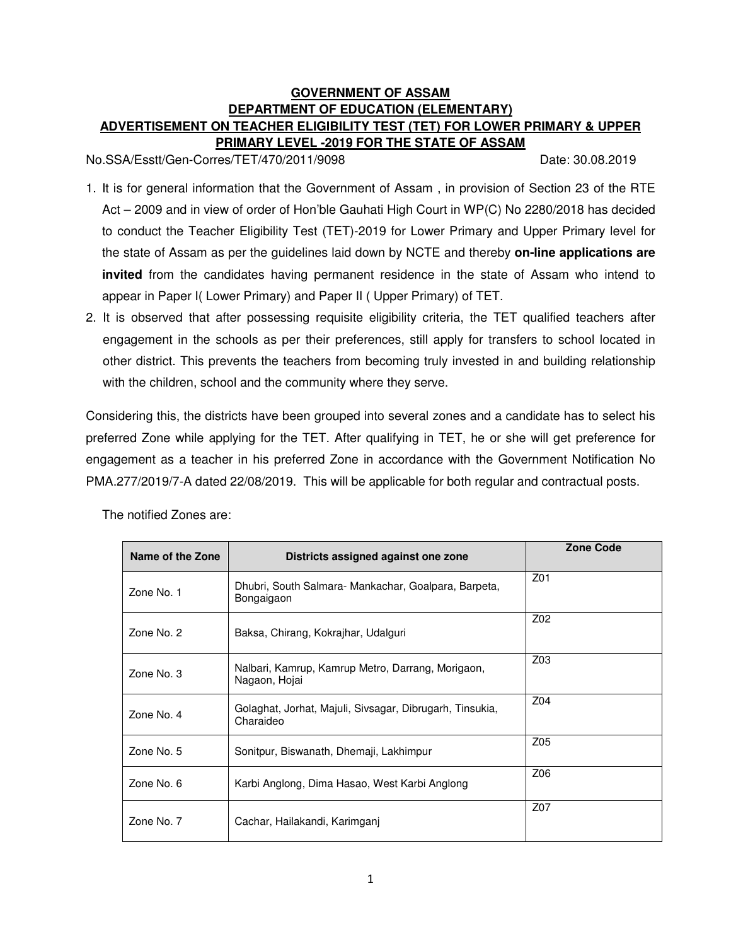# **GOVERNMENT OF ASSAM DEPARTMENT OF EDUCATION (ELEMENTARY) ADVERTISEMENT ON TEACHER ELIGIBILITY TEST (TET) FOR LOWER PRIMARY & UPPER PRIMARY LEVEL -2019 FOR THE STATE OF ASSAM**

No.SSA/Esstt/Gen-Corres/TET/470/2011/9098 Date: 30.08.2019

- 1. It is for general information that the Government of Assam , in provision of Section 23 of the RTE Act – 2009 and in view of order of Hon'ble Gauhati High Court in WP(C) No 2280/2018 has decided to conduct the Teacher Eligibility Test (TET)-2019 for Lower Primary and Upper Primary level for the state of Assam as per the guidelines laid down by NCTE and thereby **on-line applications are invited** from the candidates having permanent residence in the state of Assam who intend to appear in Paper I( Lower Primary) and Paper II ( Upper Primary) of TET.
- 2. It is observed that after possessing requisite eligibility criteria, the TET qualified teachers after engagement in the schools as per their preferences, still apply for transfers to school located in other district. This prevents the teachers from becoming truly invested in and building relationship with the children, school and the community where they serve.

Considering this, the districts have been grouped into several zones and a candidate has to select his preferred Zone while applying for the TET. After qualifying in TET, he or she will get preference for engagement as a teacher in his preferred Zone in accordance with the Government Notification No PMA.277/2019/7-A dated 22/08/2019. This will be applicable for both regular and contractual posts.

| Name of the Zone | Districts assigned against one zone                                   | Zone Code       |
|------------------|-----------------------------------------------------------------------|-----------------|
| Zone No. 1       | Dhubri, South Salmara- Mankachar, Goalpara, Barpeta,<br>Bongaigaon    | Z01             |
| Zone No. 2       | Baksa, Chirang, Kokrajhar, Udalguri                                   | Z02             |
| Zone No. 3       | Nalbari, Kamrup, Kamrup Metro, Darrang, Morigaon,<br>Nagaon, Hojai    | Z <sub>03</sub> |
| Zone No. 4       | Golaghat, Jorhat, Majuli, Sivsagar, Dibrugarh, Tinsukia,<br>Charaideo | Z04             |
| Zone No. 5       | Sonitpur, Biswanath, Dhemaji, Lakhimpur                               | Z05             |
| Zone No. 6       | Karbi Anglong, Dima Hasao, West Karbi Anglong                         | Z06             |
| Zone No. 7       | Cachar, Hailakandi, Karimganj                                         | Z07             |

The notified Zones are: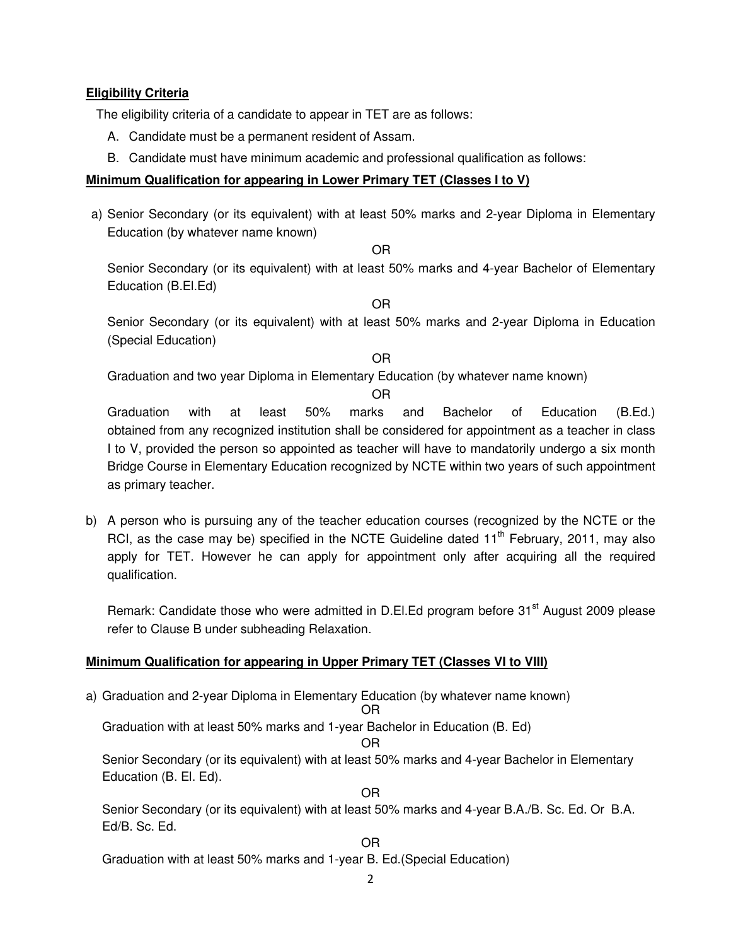### **Eligibility Criteria**

The eligibility criteria of a candidate to appear in TET are as follows:

- A. Candidate must be a permanent resident of Assam.
- B. Candidate must have minimum academic and professional qualification as follows:

#### **Minimum Qualification for appearing in Lower Primary TET (Classes I to V)**

a) Senior Secondary (or its equivalent) with at least 50% marks and 2-year Diploma in Elementary Education (by whatever name known)

OR

Senior Secondary (or its equivalent) with at least 50% marks and 4-year Bachelor of Elementary Education (B.El.Ed)

OR

Senior Secondary (or its equivalent) with at least 50% marks and 2-year Diploma in Education (Special Education)

OR

Graduation and two year Diploma in Elementary Education (by whatever name known)

OR

Graduation with at least 50% marks and Bachelor of Education (B.Ed.) obtained from any recognized institution shall be considered for appointment as a teacher in class I to V, provided the person so appointed as teacher will have to mandatorily undergo a six month Bridge Course in Elementary Education recognized by NCTE within two years of such appointment as primary teacher.

b) A person who is pursuing any of the teacher education courses (recognized by the NCTE or the RCI, as the case may be) specified in the NCTE Guideline dated  $11<sup>th</sup>$  February, 2011, may also apply for TET. However he can apply for appointment only after acquiring all the required qualification.

Remark: Candidate those who were admitted in D.El.Ed program before 31<sup>st</sup> August 2009 please refer to Clause B under subheading Relaxation.

### **Minimum Qualification for appearing in Upper Primary TET (Classes VI to VIII)**

a) Graduation and 2-year Diploma in Elementary Education (by whatever name known)

OR

Graduation with at least 50% marks and 1-year Bachelor in Education (B. Ed)

OR

Senior Secondary (or its equivalent) with at least 50% marks and 4-year Bachelor in Elementary Education (B. El. Ed).

OR

Senior Secondary (or its equivalent) with at least 50% marks and 4-year B.A./B. Sc. Ed. Or B.A. Ed/B. Sc. Ed.

OR

Graduation with at least 50% marks and 1-year B. Ed.(Special Education)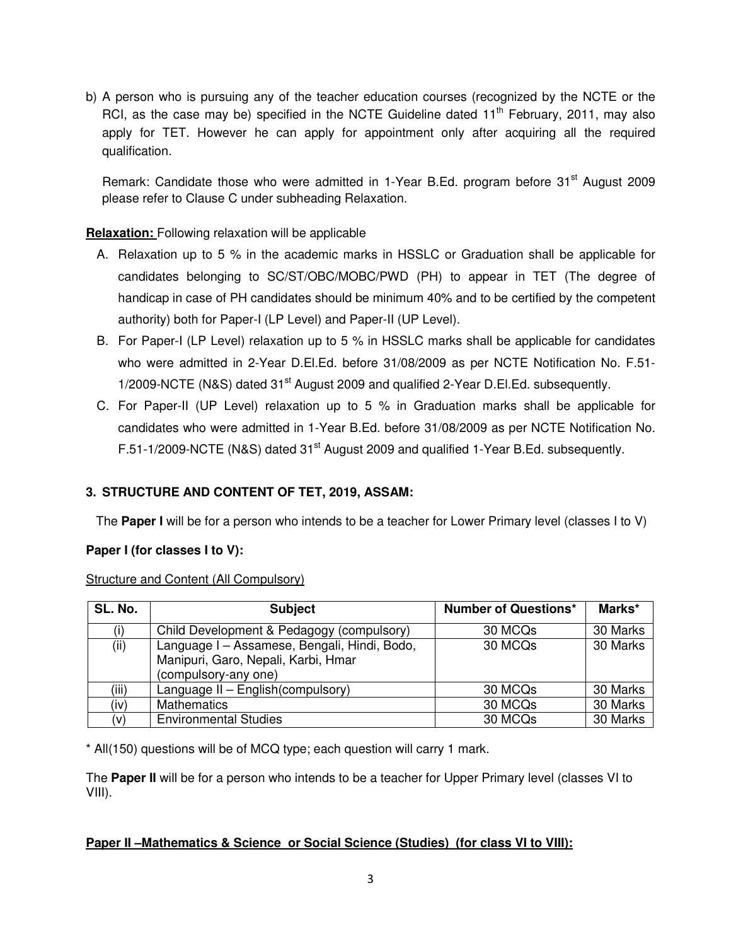b) A person who is pursuing any of the teacher education courses (recognized by the NCTE or the RCI, as the case may be) specified in the NCTE Guideline dated  $11<sup>th</sup>$  February, 2011, may also apply for TET. However he can apply for appointment only after acquiring all the required qualification.

Remark: Candidate those who were admitted in 1-Year B.Ed. program before 31<sup>st</sup> August 2009 please refer to Clause C under subheading Relaxation.

### **Relaxation:** Following relaxation will be applicable

- A. Relaxation up to 5 % in the academic marks in HSSLC or Graduation shall be applicable for candidates belonging to SC/ST/OBC/MOBC/PWD (PH) to appear in TET (The degree of handicap in case of PH candidates should be minimum 40% and to be certified by the competent authority) both for Paper-I (LP Level) and Paper-II (UP Level).
- B. For Paper-I (LP Level) relaxation up to 5 % in HSSLC marks shall be applicable for candidates who were admitted in 2-Year D.El.Ed. before 31/08/2009 as per NCTE Notification No. F.51- 1/2009-NCTE (N&S) dated 31<sup>st</sup> August 2009 and qualified 2-Year D.El.Ed. subsequently.
- C. For Paper-II (UP Level) relaxation up to 5 % in Graduation marks shall be applicable for candidates who were admitted in 1-Year B.Ed. before 31/08/2009 as per NCTE Notification No. F.51-1/2009-NCTE (N&S) dated 31<sup>st</sup> August 2009 and qualified 1-Year B.Ed. subsequently.

# **3. STRUCTURE AND CONTENT OF TET, 2019, ASSAM:**

The **Paper I** will be for a person who intends to be a teacher for Lower Primary level (classes I to V)

### **Paper I (for classes I to V):**

| Structure and Content (All Compulsory) |
|----------------------------------------|
|----------------------------------------|

| SL. No. | <b>Subject</b>                               | <b>Number of Questions*</b> | Marks*   |
|---------|----------------------------------------------|-----------------------------|----------|
| (i)     | Child Development & Pedagogy (compulsory)    | 30 MCQs                     | 30 Marks |
| (ii)    | Language I - Assamese, Bengali, Hindi, Bodo, | 30 MCQ <sub>s</sub>         | 30 Marks |
|         | Manipuri, Garo, Nepali, Karbi, Hmar          |                             |          |
|         | (compulsory-any one)                         |                             |          |
| (iii)   | Language II - English(compulsory)            | 30 MCQs                     | 30 Marks |
| (iv)    | <b>Mathematics</b>                           | 30 MCQs                     | 30 Marks |
| (v)     | <b>Environmental Studies</b>                 | 30 MCQs                     | 30 Marks |

\* All(150) questions will be of MCQ type; each question will carry 1 mark.

The **Paper II** will be for a person who intends to be a teacher for Upper Primary level (classes VI to VIII).

### **Paper II –Mathematics & Science or Social Science (Studies) (for class VI to VIII):**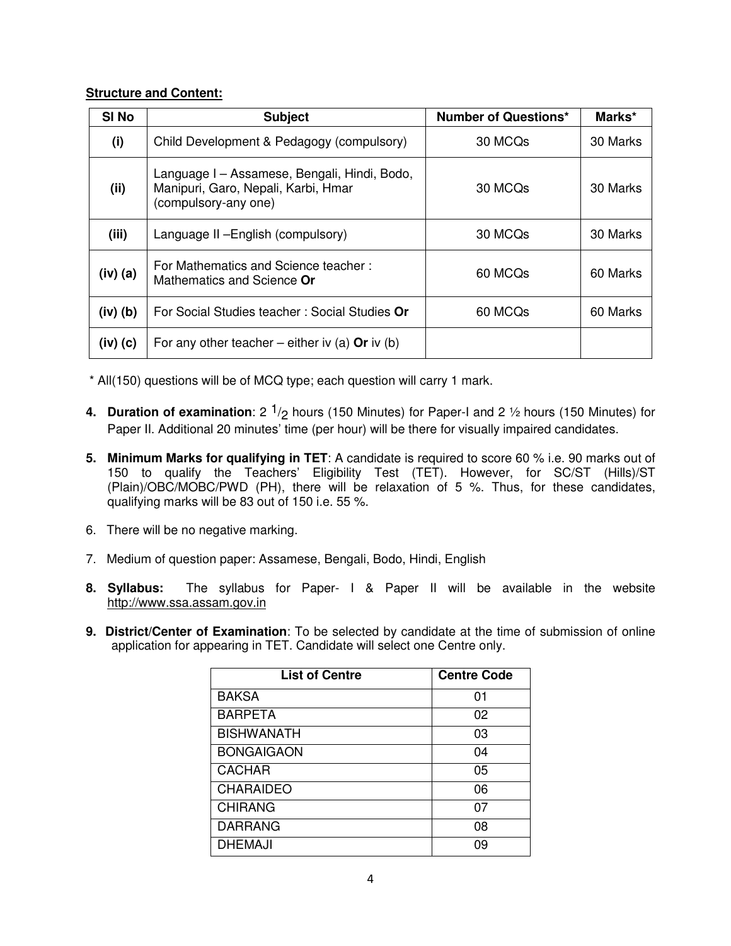#### **Structure and Content:**

| SI <sub>No</sub> | <b>Subject</b>                                                                                              | <b>Number of Questions*</b> | Marks*   |
|------------------|-------------------------------------------------------------------------------------------------------------|-----------------------------|----------|
| (i)              | Child Development & Pedagogy (compulsory)                                                                   | 30 MCQs                     | 30 Marks |
| (ii)             | Language I – Assamese, Bengali, Hindi, Bodo,<br>Manipuri, Garo, Nepali, Karbi, Hmar<br>(compulsory-any one) | 30 MCQs                     | 30 Marks |
| (iii)            | Language II - English (compulsory)                                                                          | 30 MCQs                     | 30 Marks |
| $(iv)$ $(a)$     | For Mathematics and Science teacher:<br>Mathematics and Science Or                                          | 60 MCQs                     | 60 Marks |
| $(iv)$ $(b)$     | For Social Studies teacher: Social Studies Or                                                               | 60 MCQs                     | 60 Marks |
| $(iv)$ $(c)$     | For any other teacher – either iv (a) Or iv (b)                                                             |                             |          |

\* All(150) questions will be of MCQ type; each question will carry 1 mark.

- **4. Duration of examination**: 2  $\frac{1}{2}$  hours (150 Minutes) for Paper-I and 2 1/2 hours (150 Minutes) for Paper II. Additional 20 minutes' time (per hour) will be there for visually impaired candidates.
- **5. Minimum Marks for qualifying in TET**: A candidate is required to score 60 % i.e. 90 marks out of 150 to qualify the Teachers' Eligibility Test (TET). However, for SC/ST (Hills)/ST (Plain)/OBC/MOBC/PWD (PH), there will be relaxation of 5 %. Thus, for these candidates, qualifying marks will be 83 out of 150 i.e. 55 %.
- 6. There will be no negative marking.
- 7. Medium of question paper: Assamese, Bengali, Bodo, Hindi, English
- **8. Syllabus:** The syllabus for Paper- I & Paper II will be available in the website http://www.ssa.assam.gov.in
- **9. District/Center of Examination**: To be selected by candidate at the time of submission of online application for appearing in TET. Candidate will select one Centre only.

| <b>List of Centre</b> | <b>Centre Code</b> |
|-----------------------|--------------------|
| <b>BAKSA</b>          | 01                 |
| <b>BARPETA</b>        | 02                 |
| <b>BISHWANATH</b>     | 03                 |
| <b>BONGAIGAON</b>     | 04                 |
| <b>CACHAR</b>         | 05                 |
| <b>CHARAIDEO</b>      | 06                 |
| <b>CHIRANG</b>        | 07                 |
| <b>DARRANG</b>        | 08                 |
| <b>DHEMAJI</b>        | ng                 |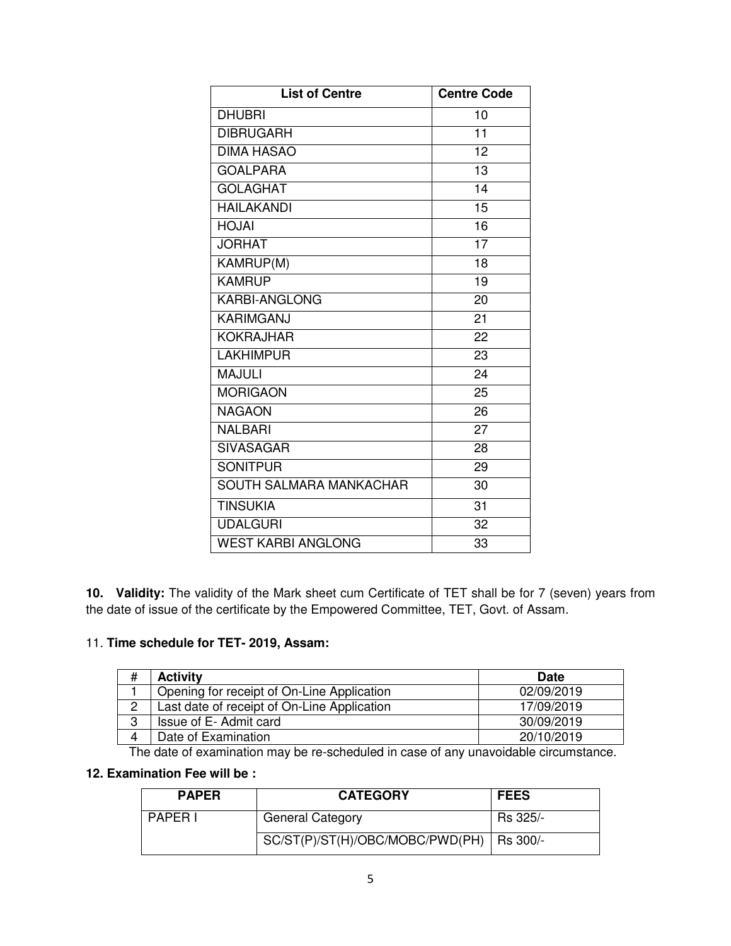| <b>List of Centre</b>     | <b>Centre Code</b> |
|---------------------------|--------------------|
| <b>DHUBRI</b>             | 10                 |
| <b>DIBRUGARH</b>          | $\overline{11}$    |
| <b>DIMA HASAO</b>         | $\overline{12}$    |
| <b>GOALPARA</b>           | $\overline{13}$    |
| <b>GOLAGHAT</b>           | 14                 |
| <b>HAILAKANDI</b>         | 15                 |
| <b>HOJAI</b>              | 16                 |
| <b>JORHAT</b>             | 17                 |
| KAMRUP(M)                 | 18                 |
| <b>KAMRUP</b>             | 19                 |
| <b>KARBI-ANGLONG</b>      | 20                 |
| <b>KARIMGANJ</b>          | 21                 |
| <b>KOKRAJHAR</b>          | 22                 |
| <b>LAKHIMPUR</b>          | 23                 |
| <b>MAJULI</b>             | 24                 |
| <b>MORIGAON</b>           | 25                 |
| <b>NAGAON</b>             | 26                 |
| <b>NALBARI</b>            | 27                 |
| <b>SIVASAGAR</b>          | 28                 |
| <b>SONITPUR</b>           | 29                 |
| SOUTH SALMARA MANKACHAR   | 30                 |
| <b>TINSUKIA</b>           | 31                 |
| <b>UDALGURI</b>           | 32                 |
| <b>WEST KARBI ANGLONG</b> | 33                 |

**10. Validity:** The validity of the Mark sheet cum Certificate of TET shall be for 7 (seven) years from the date of issue of the certificate by the Empowered Committee, TET, Govt. of Assam.

# 11. **Time schedule for TET- 2019, Assam:**

| #  | <b>Activity</b>                             | <b>Date</b> |
|----|---------------------------------------------|-------------|
|    | Opening for receipt of On-Line Application  | 02/09/2019  |
|    | Last date of receipt of On-Line Application | 17/09/2019  |
| 3  | Issue of E-Admit card                       | 30/09/2019  |
| 4  | Date of Examination                         | 20/10/2019  |
| -- | .                                           | .           |

The date of examination may be re-scheduled in case of any unavoidable circumstance.

### **12. Examination Fee will be :**

| <b>PAPER</b>   | <b>CATEGORY</b>                            | <b>FEES</b> |
|----------------|--------------------------------------------|-------------|
| <b>PAPER I</b> | <b>General Category</b>                    | Rs 325/-    |
|                | SC/ST(P)/ST(H)/OBC/MOBC/PWD(PH)   Rs 300/- |             |